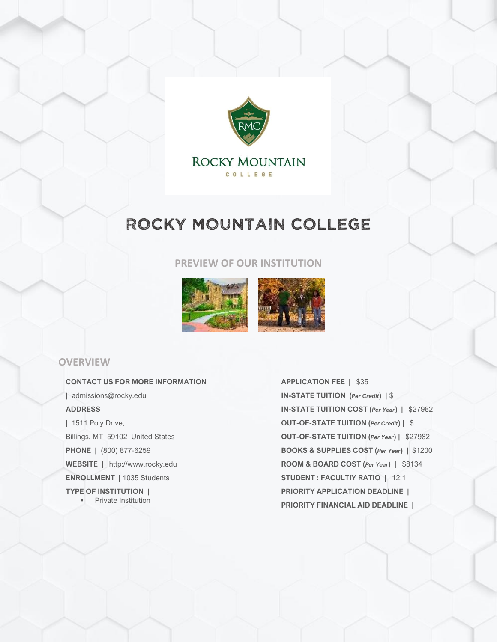

COLLEGE

# ROCKY MOUNTAIN COLLEGE

#### **PREVIEW OF OUR INSTITUTION**



#### **OVERVIEW**

**CONTACT US FOR MORE INFORMATION |** admissions@rocky.edu **ADDRESS |** 1511 Poly Drive, Billings, MT 59102 United States **PHONE |** (800) 877-6259 **WEBSITE |** http://www.rocky.edu **ENROLLMENT |** 1035 Students **TYPE OF INSTITUTION | •** Private Institution

**APPLICATION FEE |** \$35 **IN-STATE TUITION (***Per Credit***) |** \$ **IN-STATE TUITION COST (***Per Year***) |** \$27982 **OUT-OF-STATE TUITION (***Per Credit***) |** \$ **OUT-OF-STATE TUITION (***Per Year***) |** \$27982 **BOOKS & SUPPLIES COST (***Per Year***) |** \$1200 **ROOM & BOARD COST (***Per Year***) |** \$8134 **STUDENT : FACULTIY RATIO |** 12:1 **PRIORITY APPLICATION DEADLINE | PRIORITY FINANCIAL AID DEADLINE |**